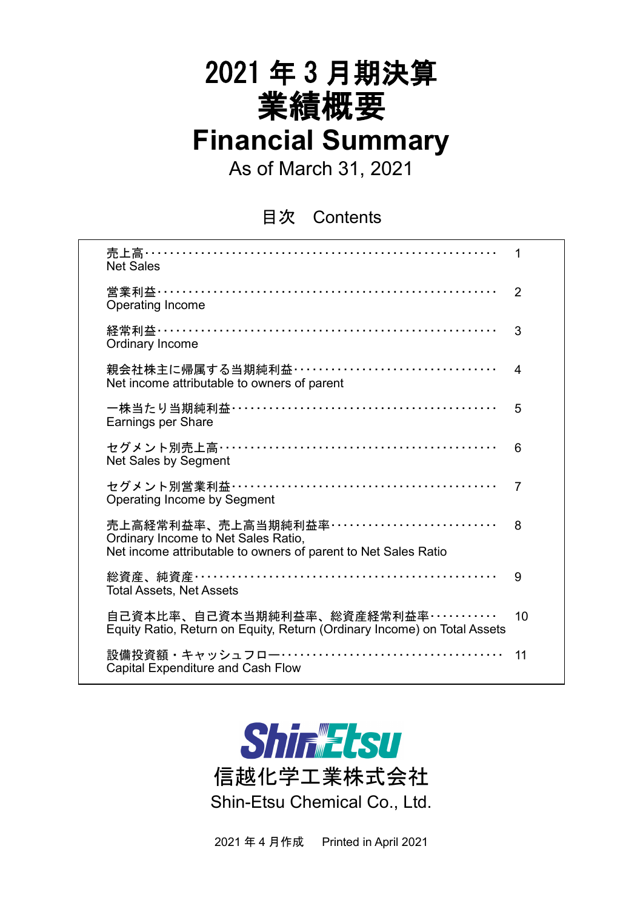# 2021 年 3 月期決算 業績概要 **Financial Summary**

As of March 31, 2021

目次 Contents

| 売上高…………………………………………………………<br><b>Net Sales</b>                                                                                          | 1                        |
|----------------------------------------------------------------------------------------------------------------------------------------|--------------------------|
| 営業利益……………………………………………………………<br>Operating Income                                                                                        | $\overline{2}$           |
| 経常利益…………………………………………………………<br>Ordinary Income                                                                                          | 3                        |
| 親会社株主に帰属する当期純利益・・・・・・・・・・・・・・・・・・・・・・・・・・・・・・・・・・<br>Net income attributable to owners of parent                                       | $\overline{\mathcal{A}}$ |
| 一株当たり当期純利益……………………………………………<br>Earnings per Share                                                                                      | 5                        |
| セグメント別売上高……………………………………………<br>Net Sales by Segment                                                                                     | 6                        |
| セグメント別営業利益……………………………………………<br>Operating Income by Segment                                                                             | $\overline{7}$           |
| 売上高経常利益率、売上高当期純利益率……………………………<br>Ordinary Income to Net Sales Ratio,<br>Net income attributable to owners of parent to Net Sales Ratio | 8                        |
| 総資産、純資産……………………………………………………<br><b>Total Assets, Net Assets</b>                                                                         | 9                        |
| 自己資本比率、自己資本当期純利益率、総資産経常利益率・・・・・・・・・・・<br>Equity Ratio, Return on Equity, Return (Ordinary Income) on Total Assets                      | 10                       |
| 設備投資額・キャッシュフロー‥‥‥‥‥‥‥‥‥‥‥‥‥‥‥‥‥‥<br><b>Capital Expenditure and Cash Flow</b>                                                           | 11                       |



2021 年 4 月作成 Printed in April 2021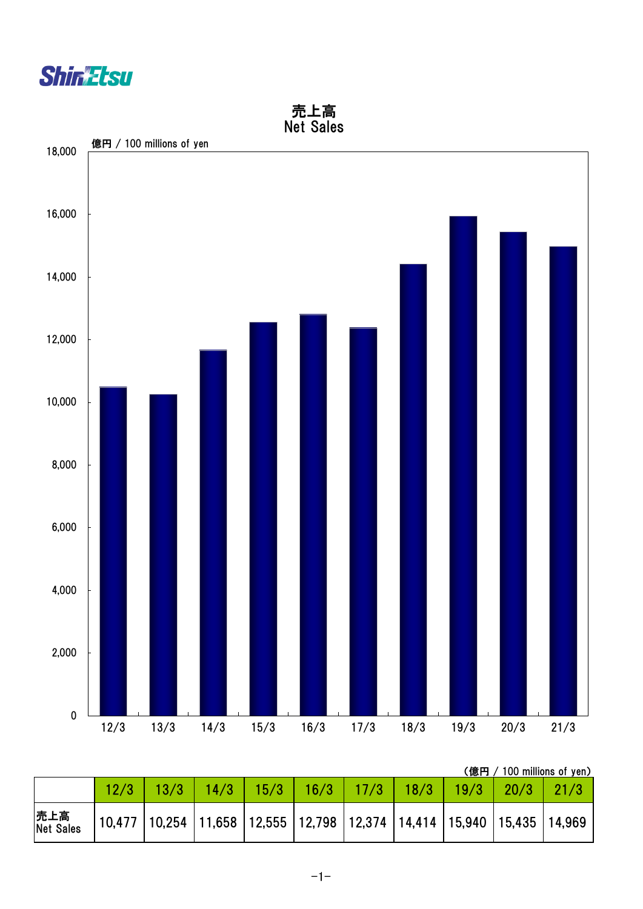



(億円 / 100 millions of yen)

|                   | $\sqrt{13/3}$                                                                             | 14/3 |  | $15/3$   16/3   17/3   18/3 | $19/3$   20/3 |  |
|-------------------|-------------------------------------------------------------------------------------------|------|--|-----------------------------|---------------|--|
| 売上高<br> Net Sales | $10,477$   10,254   11,658   12,555   12,798   12,374   14,414   15,940   15,435   14,969 |      |  |                             |               |  |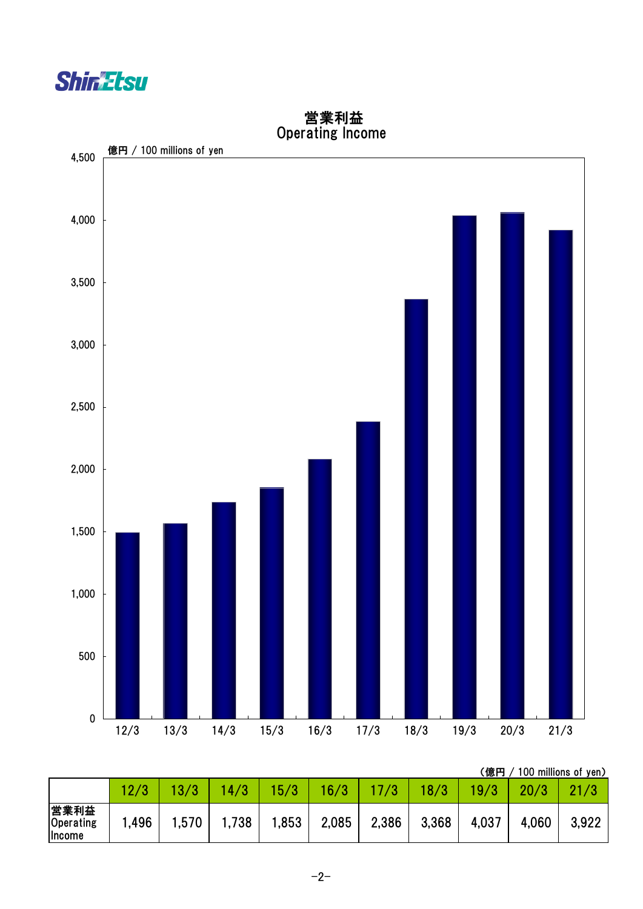



#### 営業利益 Operating Income

(億円 / 100 millions of yen)

|                             |       |       | 4/3  | 15/3  | 16/3  |       | 18/3  |       |       |       |
|-----------------------------|-------|-------|------|-------|-------|-------|-------|-------|-------|-------|
| 営業利益<br>Operating<br>Income | .,496 | 1,570 | ,738 | 1,853 | 2,085 | 2,386 | 3,368 | 4,037 | 4,060 | 3,922 |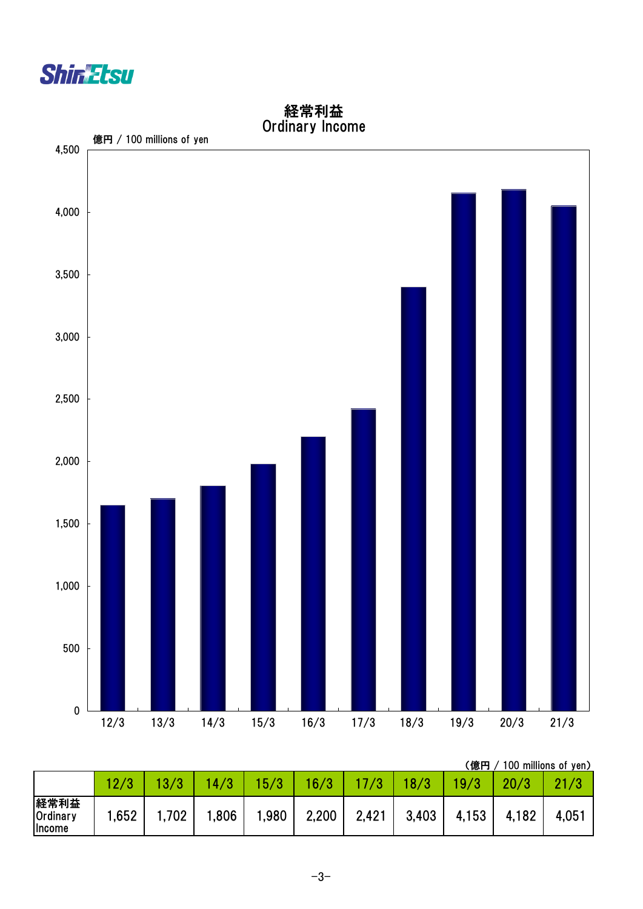



経常利益 Ordinary Income

(億円 / 100 millions of yen)

|                                                 |      |      |      |       |       |       |       | .     |       |       |
|-------------------------------------------------|------|------|------|-------|-------|-------|-------|-------|-------|-------|
|                                                 |      |      | 14/3 | 15/3  | 16/3  |       | 18/3  | 19/3  |       | 21/3  |
| 経常利益<br>Ordinary<br><i><u><b>Income</b></u></i> | .652 | ,702 | .806 | 1,980 | 2,200 | 2,421 | 3,403 | 4,153 | 4,182 | 4,051 |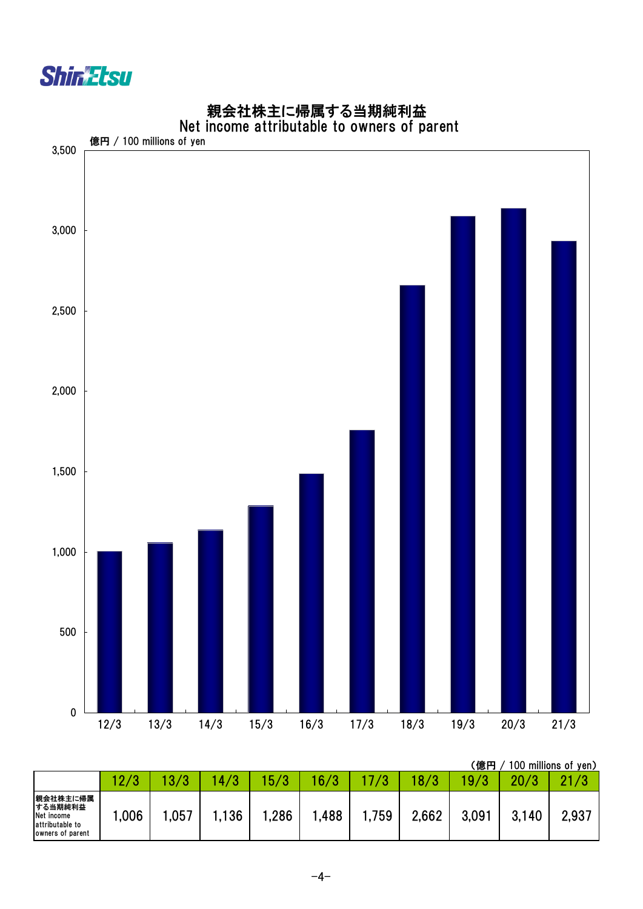



# 親会社株主に帰属する当期純利益

|                                                                          |      | (億円<br>100 millions of yen) |     |      |      |       |       |       |       |       |
|--------------------------------------------------------------------------|------|-----------------------------|-----|------|------|-------|-------|-------|-------|-------|
|                                                                          | 12/3 | Ю.                          | 4/3 | 5/3  | 16/3 |       | 8/3   | 9/3   | 20/3  | 21/3  |
| 親会社株主に帰属<br>する当期純利益<br>Net income<br>attributable to<br>owners of parent | ,006 | .057                        | 36  | ,286 | ,488 | 1,759 | 2,662 | 3,091 | 3,140 | 2,937 |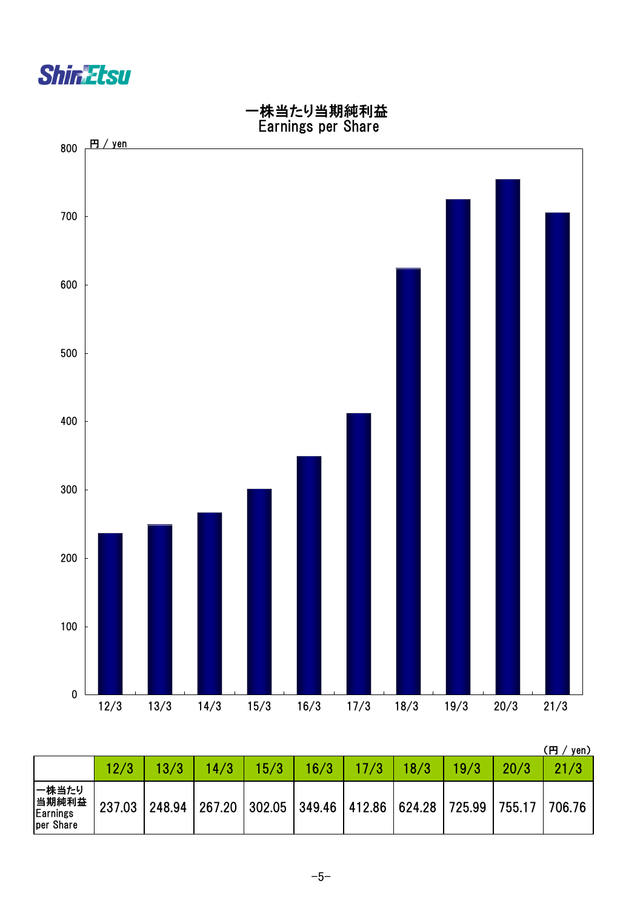



|                                         |        |        |                                                     |      |      |      |      |      |        | <b>円</b><br>yen) |
|-----------------------------------------|--------|--------|-----------------------------------------------------|------|------|------|------|------|--------|------------------|
|                                         | 12/3   | 13/3   | 14/3                                                | 15/3 | 16/3 | 17/3 | 18/3 | 19/3 | 20/3   | 21/3             |
| 一株当たり<br>当期純利益<br>Earnings<br>per Share | 237.03 | 248.94 | 267.20   302.05   349.46   412.86   624.28   725.99 |      |      |      |      |      | 755.17 | 706.76           |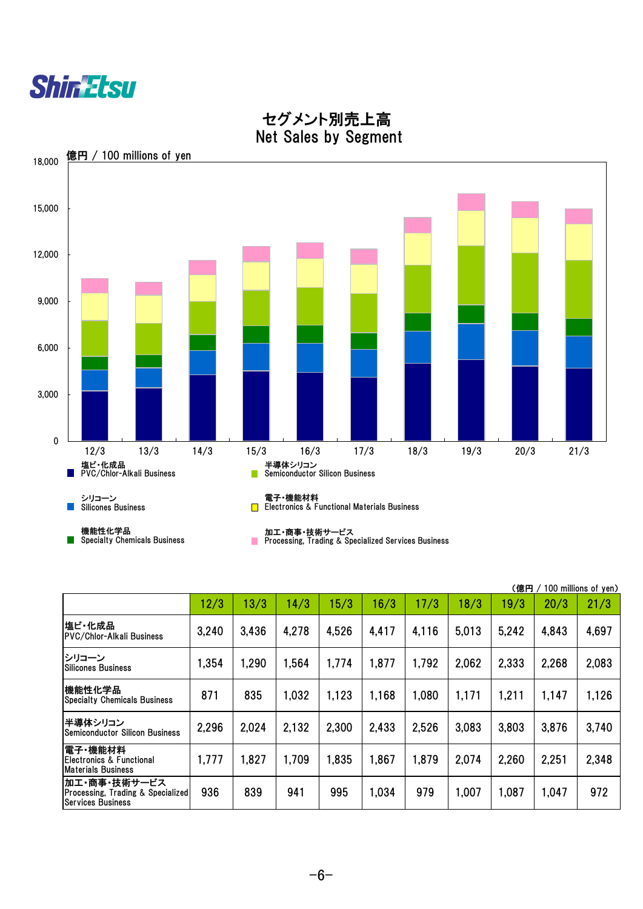|                                                                               |       |       |       |       |       |       |       | (億円   |       | 100 millions of yen) |
|-------------------------------------------------------------------------------|-------|-------|-------|-------|-------|-------|-------|-------|-------|----------------------|
|                                                                               | 12/3  | 13/3  | 14/3  | 15/3  | 16/3  | 17/3  | 18/3  | 19/3  | 20/3  | 21/3                 |
| 塩ビ・化成品<br><b>PVC/Chlor-Alkali Business</b>                                    | 3,240 | 3,436 | 4,278 | 4,526 | 4,417 | 4,116 | 5,013 | 5,242 | 4,843 | 4,697                |
| シリコーン<br><b>Silicones Business</b>                                            | 1,354 | 1,290 | 1,564 | 1,774 | 1,877 | 1,792 | 2,062 | 2,333 | 2,268 | 2,083                |
| 機能性化学品<br><b>Specialty Chemicals Business</b>                                 | 871   | 835   | 1,032 | 1,123 | 1,168 | 1,080 | 1,171 | 1,211 | 1,147 | 1,126                |
| 半導体シリコン<br><b>Semiconductor Silicon Business</b>                              | 2,296 | 2,024 | 2,132 | 2,300 | 2,433 | 2,526 | 3,083 | 3,803 | 3,876 | 3,740                |
| 電子 機能材料<br><b>Electronics &amp; Functional</b><br><b>Materials Business</b>   | 1,777 | 1,827 | 1,709 | 1,835 | 1,867 | 1,879 | 2,074 | 2,260 | 2,251 | 2,348                |
| 加工・商事・技術サービス<br>Processing, Trading & Specialized<br><b>Services Business</b> | 936   | 839   | 941   | 995   | 1,034 | 979   | 1,007 | 1,087 | 1,047 | 972                  |



## セグメント別売上高 Net Sales by Segment



-6-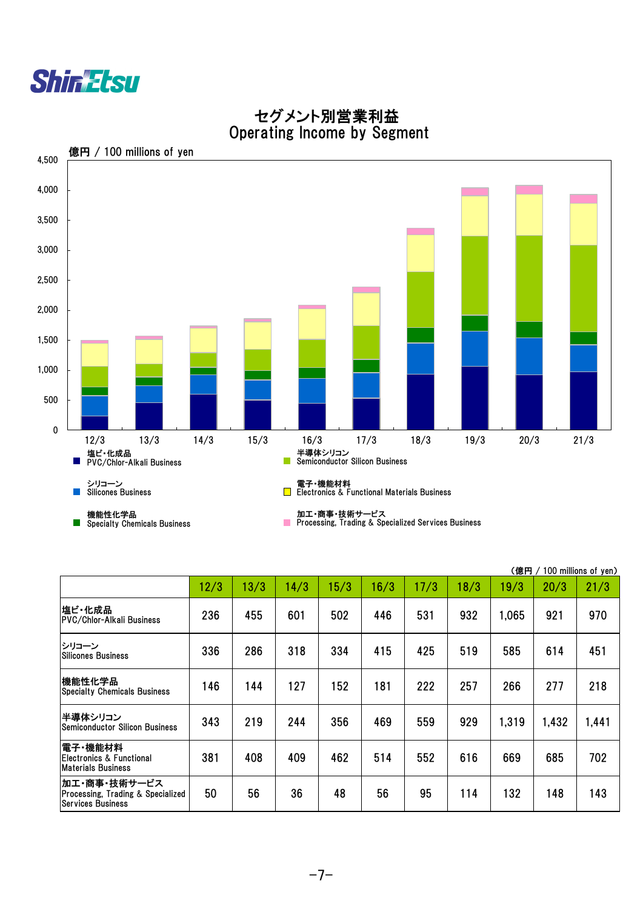|                                                                               |      |      |      |      |      |      |      | (億円   |       | 100 millions of yen) |
|-------------------------------------------------------------------------------|------|------|------|------|------|------|------|-------|-------|----------------------|
|                                                                               | 12/3 | 13/3 | 14/3 | 15/3 | 16/3 | 17/3 | 18/3 | 19/3  | 20/3  | 21/3                 |
| 塩ビ・化成品<br><b>PVC/Chlor-Alkali Business</b>                                    | 236  | 455  | 601  | 502  | 446  | 531  | 932  | 1,065 | 921   | 970                  |
| シリコーン<br><b>Silicones Business</b>                                            | 336  | 286  | 318  | 334  | 415  | 425  | 519  | 585   | 614   | 451                  |
| 機能性化学品<br><b>Specialty Chemicals Business</b>                                 | 146  | 144  | 127  | 152  | 181  | 222  | 257  | 266   | 277   | 218                  |
| 半導体シリコン<br><b>Semiconductor Silicon Business</b>                              | 343  | 219  | 244  | 356  | 469  | 559  | 929  | 1.319 | 1,432 | 1,441                |
| 電子・機能材料 <br>Electronics & Functional<br><b>Materials Business</b>             | 381  | 408  | 409  | 462  | 514  | 552  | 616  | 669   | 685   | 702                  |
| 加工・商事・技術サービス<br>Processing, Trading & Specialized<br><b>Services Business</b> | 50   | 56   | 36   | 48   | 56   | 95   | 114  | 132   | 148   | 143                  |



### セグメント別営業利益 Operating Income by Segment

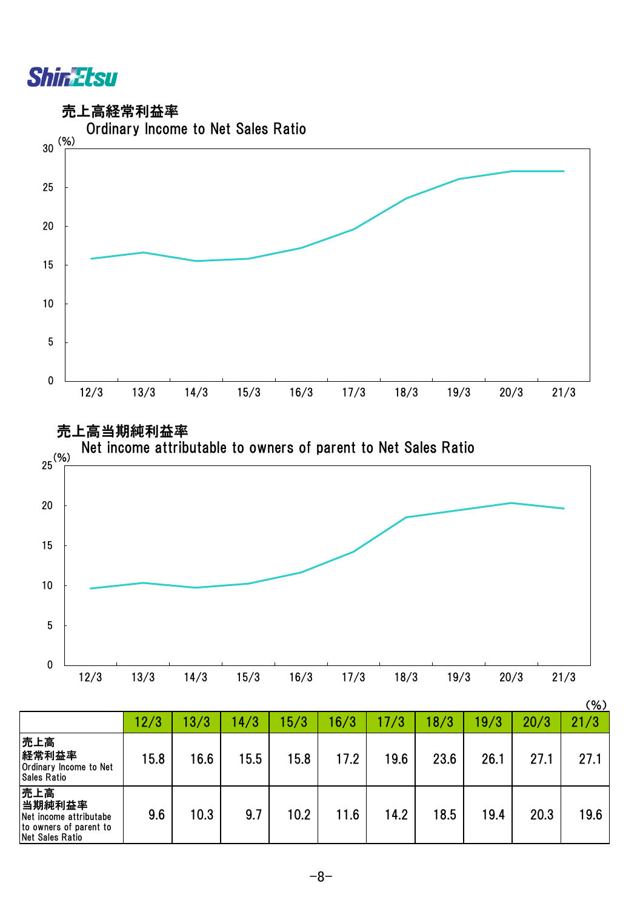





|                                                                                             |      |      |      |      |      |      |      |      |      | (% ) |
|---------------------------------------------------------------------------------------------|------|------|------|------|------|------|------|------|------|------|
|                                                                                             | 12/3 | 13/3 | 14/3 | 15/3 | 16/3 | 17/3 | 18/3 | 19/3 | 20/3 | 21/3 |
| 売上高<br>経常利益率<br><b>Ordinary Income to Net</b><br><b>Sales Ratio</b>                         | 15.8 | 16.6 | 15.5 | 15.8 | 17.2 | 19.6 | 23.6 | 26.1 | 27.1 | 27.1 |
| 売上高<br>当期純利益率<br>Net income attributabe<br>to owners of parent to<br><b>Net Sales Ratio</b> | 9.6  | 10.3 | 9.7  | 10.2 | 11.6 | 14.2 | 18.5 | 19.4 | 20.3 | 19.6 |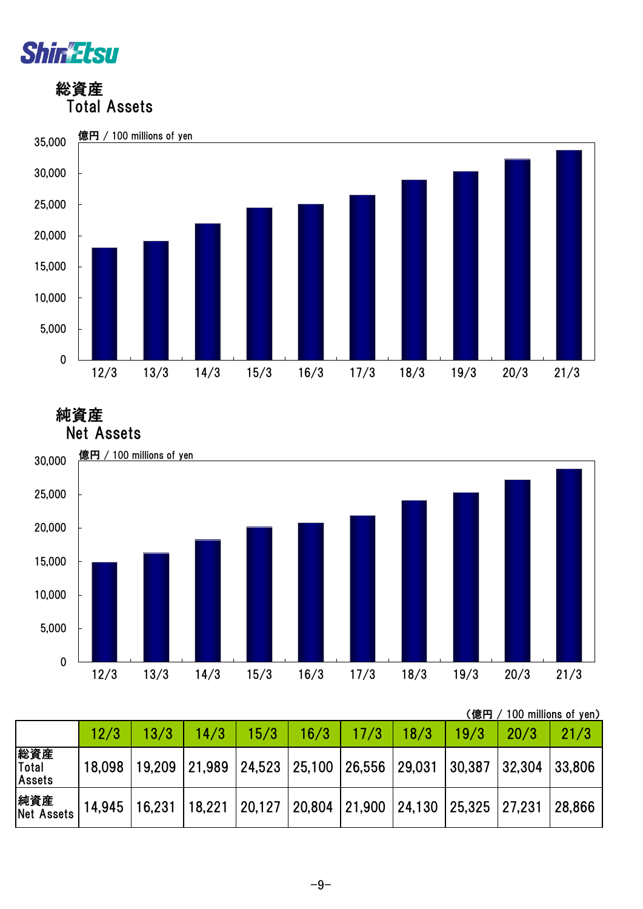

 総資産 Total Assets



純資産



|                          |        |               |        |                             |      |                                    |      | (億円    |        | 100 millions of yen) |
|--------------------------|--------|---------------|--------|-----------------------------|------|------------------------------------|------|--------|--------|----------------------|
|                          | 12/3   | 13/3          | 14/3   | 15/3                        | 16/3 | 17/3                               | 18/3 | 19/3   | 20/3   | 21/3                 |
| 総資産<br>Total<br>Assets   | 18,098 | 19,209 21,989 |        | 24,523 25,100 26,556 29,031 |      |                                    |      | 30,387 | 32,304 | 33,806               |
| 純資産<br><b>Net Assets</b> | 14,945 | 16,231        | 18,221 | $ 20,127\rangle$            |      | 20,804 21,900 24,130 25,325 27,231 |      |        |        | 28,866               |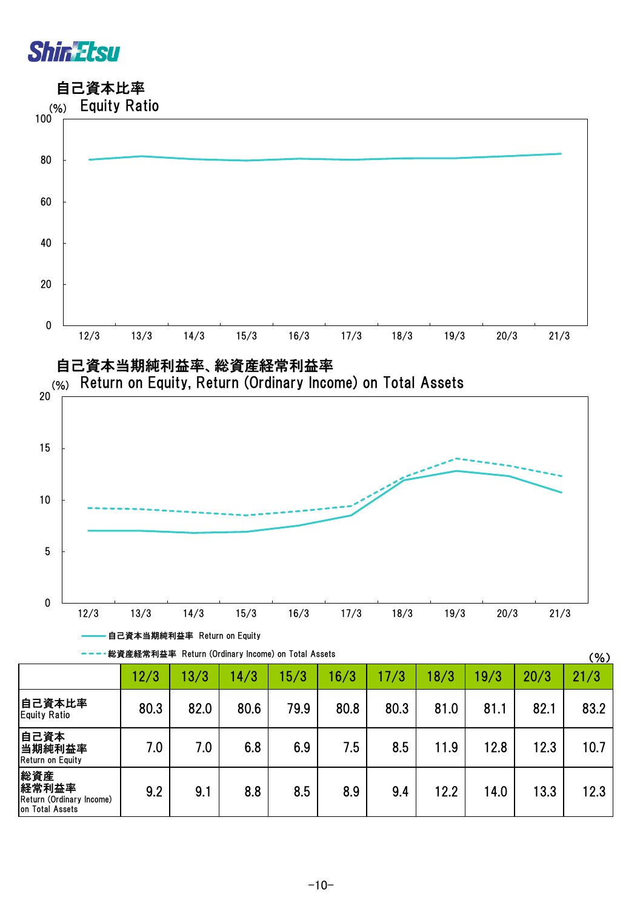

総資産 経常利益率

on Total Assets

Return (Ordinary Income)

自己資本比率



 $-10-$ 

9.2 | 9.1 | 8.8 | 8.5 | 8.9 | 9.4 | 12.2 | 14.0 | 13.3 | 12.3